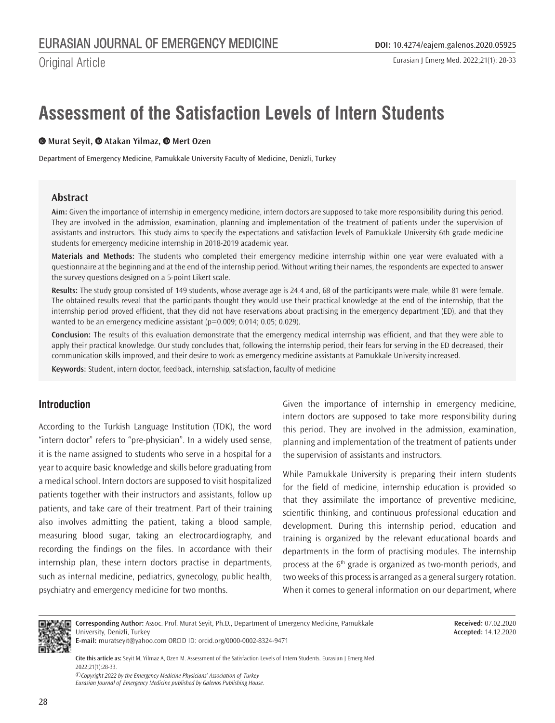Eurasian J Emerg Med. 2022;21(1): 28-33

# **Assessment of the Satisfaction Levels of Intern Students**

#### **Murat Seyit,Atakan Yilmaz,Mert Ozen**

Department of Emergency Medicine, Pamukkale University Faculty of Medicine, Denizli, Turkey

## **Abstract**

**Aim:** Given the importance of internship in emergency medicine, intern doctors are supposed to take more responsibility during this period. They are involved in the admission, examination, planning and implementation of the treatment of patients under the supervision of assistants and instructors. This study aims to specify the expectations and satisfaction levels of Pamukkale University 6th grade medicine students for emergency medicine internship in 2018-2019 academic year.

**Materials and Methods:** The students who completed their emergency medicine internship within one year were evaluated with a questionnaire at the beginning and at the end of the internship period. Without writing their names, the respondents are expected to answer the survey questions designed on a 5-point Likert scale.

**Results:** The study group consisted of 149 students, whose average age is 24.4 and, 68 of the participants were male, while 81 were female. The obtained results reveal that the participants thought they would use their practical knowledge at the end of the internship, that the internship period proved efficient, that they did not have reservations about practising in the emergency department (ED), and that they wanted to be an emergency medicine assistant (p=0.009; 0.014; 0.05; 0.029).

**Conclusion:** The results of this evaluation demonstrate that the emergency medical internship was efficient, and that they were able to apply their practical knowledge. Our study concludes that, following the internship period, their fears for serving in the ED decreased, their communication skills improved, and their desire to work as emergency medicine assistants at Pamukkale University increased.

**Keywords:** Student, intern doctor, feedback, internship, satisfaction, faculty of medicine

# **Introduction**

According to the Turkish Language Institution (TDK), the word "intern doctor" refers to "pre-physician". In a widely used sense, it is the name assigned to students who serve in a hospital for a year to acquire basic knowledge and skills before graduating from a medical school. Intern doctors are supposed to visit hospitalized patients together with their instructors and assistants, follow up patients, and take care of their treatment. Part of their training also involves admitting the patient, taking a blood sample, measuring blood sugar, taking an electrocardiography, and recording the findings on the files. In accordance with their internship plan, these intern doctors practise in departments, such as internal medicine, pediatrics, gynecology, public health, psychiatry and emergency medicine for two months.

Given the importance of internship in emergency medicine, intern doctors are supposed to take more responsibility during this period. They are involved in the admission, examination, planning and implementation of the treatment of patients under the supervision of assistants and instructors.

While Pamukkale University is preparing their intern students for the field of medicine, internship education is provided so that they assimilate the importance of preventive medicine, scientific thinking, and continuous professional education and development. During this internship period, education and training is organized by the relevant educational boards and departments in the form of practising modules. The internship process at the 6<sup>th</sup> grade is organized as two-month periods, and two weeks of this process is arranged as a general surgery rotation. When it comes to general information on our department, where



**Corresponding Author:** Assoc. Prof. Murat Seyit, Ph.D., Department of Emergency Medicine, Pamukkale University, Denizli, Turkey **E-mail:** muratseyit@yahoo.com ORCID ID: orcid.org/0000-0002-8324-9471

**Received:** 07.02.2020 **Accepted:** 14.12.2020

**Cite this article as:** Seyit M, Yilmaz A, Ozen M. Assessment of the Satisfaction Levels of Intern Students. Eurasian J Emerg Med. 2022;21(1):28-33.

*©Copyright 2022 by the Emergency Medicine Physicians' Association of Turkey Eurasian Journal of Emergency Medicine published by Galenos Publishing House.*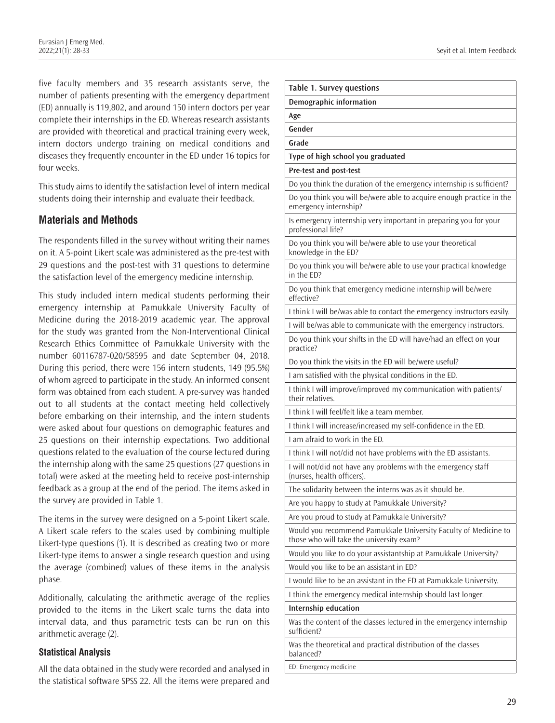five faculty members and 35 research assistants serve, the number of patients presenting with the emergency department (ED) annually is 119,802, and around 150 intern doctors per year complete their internships in the ED. Whereas research assistants are provided with theoretical and practical training every week, intern doctors undergo training on medical conditions and diseases they frequently encounter in the ED under 16 topics for four weeks.

This study aims to identify the satisfaction level of intern medical students doing their internship and evaluate their feedback.

# **Materials and Methods**

The respondents filled in the survey without writing their names on it. A 5-point Likert scale was administered as the pre-test with 29 questions and the post-test with 31 questions to determine the satisfaction level of the emergency medicine internship.

This study included intern medical students performing their emergency internship at Pamukkale University Faculty of Medicine during the 2018-2019 academic year. The approval for the study was granted from the Non-Interventional Clinical Research Ethics Committee of Pamukkale University with the number 60116787-020/58595 and date September 04, 2018. During this period, there were 156 intern students, 149 (95.5%) of whom agreed to participate in the study. An informed consent form was obtained from each student. A pre-survey was handed out to all students at the contact meeting held collectively before embarking on their internship, and the intern students were asked about four questions on demographic features and 25 questions on their internship expectations. Two additional questions related to the evaluation of the course lectured during the internship along with the same 25 questions (27 questions in total) were asked at the meeting held to receive post-internship feedback as a group at the end of the period. The items asked in the survey are provided in Table 1.

The items in the survey were designed on a 5-point Likert scale. A Likert scale refers to the scales used by combining multiple Likert-type questions (1). It is described as creating two or more Likert-type items to answer a single research question and using the average (combined) values of these items in the analysis phase.

Additionally, calculating the arithmetic average of the replies provided to the items in the Likert scale turns the data into interval data, and thus parametric tests can be run on this arithmetic average (2).

## **Statistical Analysis**

All the data obtained in the study were recorded and analysed in the statistical software SPSS 22. All the items were prepared and

| <b>Table 1. Survey questions</b>                                                                            |
|-------------------------------------------------------------------------------------------------------------|
| <b>Demographic information</b>                                                                              |
| Age                                                                                                         |
| Gender                                                                                                      |
| Grade                                                                                                       |
| Type of high school you graduated                                                                           |
| Pre-test and post-test                                                                                      |
| Do you think the duration of the emergency internship is sufficient?                                        |
| Do you think you will be/were able to acquire enough practice in the<br>emergency internship?               |
| Is emergency internship very important in preparing you for your<br>professional life?                      |
| Do you think you will be/were able to use your theoretical<br>knowledge in the ED?                          |
| Do you think you will be/were able to use your practical knowledge<br>in the ED?                            |
| Do you think that emergency medicine internship will be/were<br>effective?                                  |
| I think I will be/was able to contact the emergency instructors easily.                                     |
| I will be/was able to communicate with the emergency instructors.                                           |
| Do you think your shifts in the ED will have/had an effect on your<br>practice?                             |
| Do you think the visits in the ED will be/were useful?                                                      |
| I am satisfied with the physical conditions in the ED.                                                      |
| I think I will improve/improved my communication with patients/<br>their relatives.                         |
| I think I will feel/felt like a team member.                                                                |
| I think I will increase/increased my self-confidence in the ED.                                             |
| I am afraid to work in the ED.                                                                              |
| I think I will not/did not have problems with the ED assistants.                                            |
| I will not/did not have any problems with the emergency staff<br>(nurses, health officers).                 |
| The solidarity between the interns was as it should be.                                                     |
| Are you happy to study at Pamukkale University?                                                             |
| Are you proud to study at Pamukkale University?                                                             |
| Would you recommend Pamukkale University Faculty of Medicine to<br>those who will take the university exam? |
| Would you like to do your assistantship at Pamukkale University?                                            |
| Would you like to be an assistant in ED?                                                                    |
| I would like to be an assistant in the ED at Pamukkale University.                                          |
| I think the emergency medical internship should last longer.                                                |
| <b>Internship education</b>                                                                                 |
| Was the content of the classes lectured in the emergency internship<br>sufficient?                          |
| Was the theoretical and practical distribution of the classes<br>balanced?                                  |
| ED: Emergency medicine                                                                                      |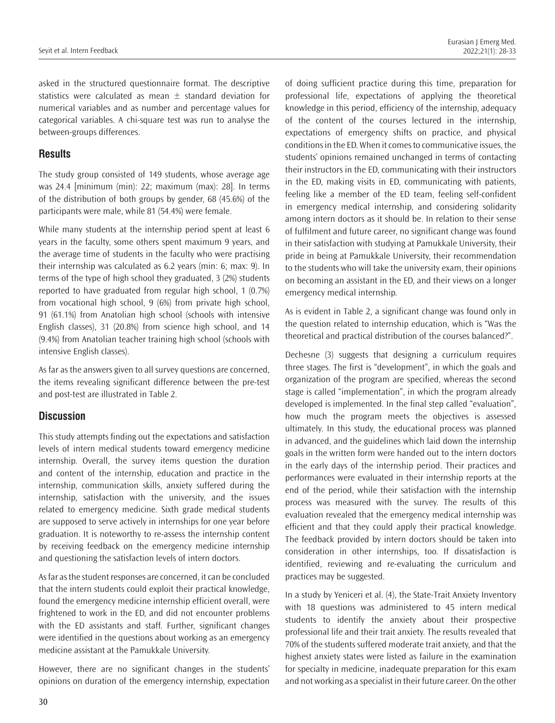asked in the structured questionnaire format. The descriptive statistics were calculated as mean  $\pm$  standard deviation for numerical variables and as number and percentage values for categorical variables. A chi-square test was run to analyse the between-groups differences.

## **Results**

The study group consisted of 149 students, whose average age was 24.4 [minimum (min): 22; maximum (max): 28]. In terms of the distribution of both groups by gender, 68 (45.6%) of the participants were male, while 81 (54.4%) were female.

While many students at the internship period spent at least 6 years in the faculty, some others spent maximum 9 years, and the average time of students in the faculty who were practising their internship was calculated as 6.2 years (min: 6; max: 9). In terms of the type of high school they graduated, 3 (2%) students reported to have graduated from regular high school, 1 (0.7%) from vocational high school, 9 (6%) from private high school, 91 (61.1%) from Anatolian high school (schools with intensive English classes), 31 (20.8%) from science high school, and 14 (9.4%) from Anatolian teacher training high school (schools with intensive English classes).

As far as the answers given to all survey questions are concerned, the items revealing significant difference between the pre-test and post-test are illustrated in Table 2.

## **Discussion**

This study attempts finding out the expectations and satisfaction levels of intern medical students toward emergency medicine internship. Overall, the survey items question the duration and content of the internship, education and practice in the internship, communication skills, anxiety suffered during the internship, satisfaction with the university, and the issues related to emergency medicine. Sixth grade medical students are supposed to serve actively in internships for one year before graduation. It is noteworthy to re-assess the internship content by receiving feedback on the emergency medicine internship and questioning the satisfaction levels of intern doctors.

As far as the student responses are concerned, it can be concluded that the intern students could exploit their practical knowledge, found the emergency medicine internship efficient overall, were frightened to work in the ED, and did not encounter problems with the ED assistants and staff. Further, significant changes were identified in the questions about working as an emergency medicine assistant at the Pamukkale University.

However, there are no significant changes in the students' opinions on duration of the emergency internship, expectation of doing sufficient practice during this time, preparation for professional life, expectations of applying the theoretical knowledge in this period, efficiency of the internship, adequacy of the content of the courses lectured in the internship, expectations of emergency shifts on practice, and physical conditions in the ED. When it comes to communicative issues, the students' opinions remained unchanged in terms of contacting their instructors in the ED, communicating with their instructors in the ED, making visits in ED, communicating with patients, feeling like a member of the ED team, feeling self-confident in emergency medical internship, and considering solidarity among intern doctors as it should be. In relation to their sense of fulfilment and future career, no significant change was found in their satisfaction with studying at Pamukkale University, their pride in being at Pamukkale University, their recommendation to the students who will take the university exam, their opinions on becoming an assistant in the ED, and their views on a longer emergency medical internship.

As is evident in Table 2, a significant change was found only in the question related to internship education, which is "Was the theoretical and practical distribution of the courses balanced?".

Dechesne (3) suggests that designing a curriculum requires three stages. The first is "development", in which the goals and organization of the program are specified, whereas the second stage is called "implementation", in which the program already developed is implemented. In the final step called "evaluation", how much the program meets the objectives is assessed ultimately. In this study, the educational process was planned in advanced, and the guidelines which laid down the internship goals in the written form were handed out to the intern doctors in the early days of the internship period. Their practices and performances were evaluated in their internship reports at the end of the period, while their satisfaction with the internship process was measured with the survey. The results of this evaluation revealed that the emergency medical internship was efficient and that they could apply their practical knowledge. The feedback provided by intern doctors should be taken into consideration in other internships, too. If dissatisfaction is identified, reviewing and re-evaluating the curriculum and practices may be suggested.

In a study by Yeniceri et al. (4), the State-Trait Anxiety Inventory with 18 questions was administered to 45 intern medical students to identify the anxiety about their prospective professional life and their trait anxiety. The results revealed that 70% of the students suffered moderate trait anxiety, and that the highest anxiety states were listed as failure in the examination for specialty in medicine, inadequate preparation for this exam and not working as a specialist in their future career. On the other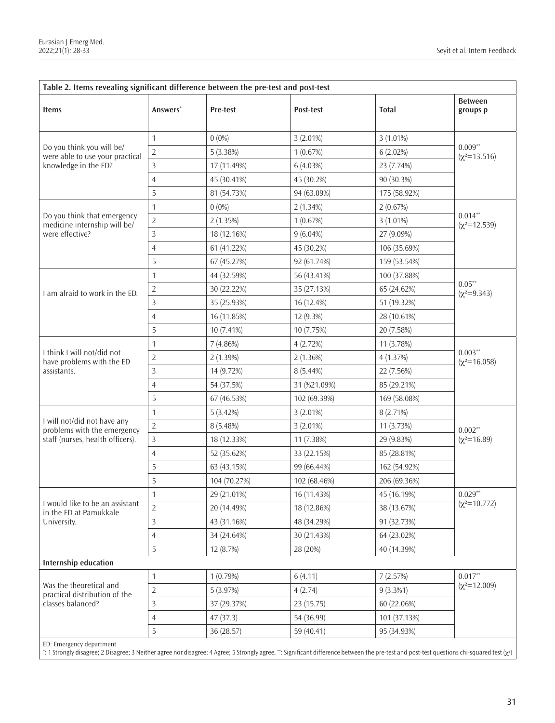| Table 2. Items revealing significant difference between the pre-test and post-test             |                      |              |              |              |                                  |  |
|------------------------------------------------------------------------------------------------|----------------------|--------------|--------------|--------------|----------------------------------|--|
| Items                                                                                          | Answers <sup>*</sup> | Pre-test     | Post-test    | <b>Total</b> | <b>Between</b><br>groups p       |  |
| Do you think you will be/<br>were able to use your practical<br>knowledge in the ED?           | 1                    | $0(0\%)$     | 3 (2.01%)    | 3 (1.01%)    | $0.009***$<br>$(x^2=13.516)$     |  |
|                                                                                                | $\sqrt{2}$           | 5 (3.38%)    | 1(0.67%)     | $6(2.02\%)$  |                                  |  |
|                                                                                                | 3                    | 17 (11.49%)  | 6 (4.03%)    | 23 (7.74%)   |                                  |  |
|                                                                                                | $\overline{4}$       | 45 (30.41%)  | 45 (30.2%)   | 90 (30.3%)   |                                  |  |
|                                                                                                | 5                    | 81 (54.73%)  | 94 (63.09%)  | 175 (58.92%) |                                  |  |
| Do you think that emergency<br>medicine internship will be/<br>were effective?                 | $\mathbf{1}$         | $0(0\%)$     | $2(1.34\%)$  | 2(0.67%)     | $0.014***$<br>$(x^2=12.539)$     |  |
|                                                                                                | $\overline{2}$       | 2(1.35%)     | 1(0.67%)     | 3 (1.01%)    |                                  |  |
|                                                                                                | 3                    | 18 (12.16%)  | $9(6.04\%)$  | 27 (9.09%)   |                                  |  |
|                                                                                                | $\overline{4}$       | 61 (41.22%)  | 45 (30.2%)   | 106 (35.69%) |                                  |  |
|                                                                                                | 5                    | 67 (45.27%)  | 92 (61.74%)  | 159 (53.54%) |                                  |  |
| I am afraid to work in the ED.                                                                 | $\mathbf{1}$         | 44 (32.59%)  | 56 (43.41%)  | 100 (37.88%) | $0.05**$<br>$(x^2=9.343)$        |  |
|                                                                                                | $\overline{2}$       | 30 (22.22%)  | 35 (27.13%)  | 65 (24.62%)  |                                  |  |
|                                                                                                | 3                    | 35 (25.93%)  | 16 (12.4%)   | 51 (19.32%)  |                                  |  |
|                                                                                                | $\overline{4}$       | 16 (11.85%)  | 12 (9.3%)    | 28 (10.61%)  |                                  |  |
|                                                                                                | 5                    | 10 (7.41%)   | 10 (7.75%)   | 20 (7.58%)   |                                  |  |
| I think I will not/did not<br>have problems with the ED<br>assistants.                         | $\mathbf{1}$         | 7(4.86%)     | 4(2.72%)     | 11 (3.78%)   | $0.003**$<br>$(\chi^2 = 16.058)$ |  |
|                                                                                                | $\sqrt{2}$           | 2 (1.39%)    | $2(1.36\%)$  | 4 (1.37%)    |                                  |  |
|                                                                                                | 3                    | 14 (9.72%)   | 8 (5.44%)    | 22 (7.56%)   |                                  |  |
|                                                                                                | $\overline{4}$       | 54 (37.5%)   | 31 (%21.09%) | 85 (29.21%)  |                                  |  |
|                                                                                                | 5                    | 67 (46.53%)  | 102 (69.39%) | 169 (58.08%) |                                  |  |
| I will not/did not have any<br>problems with the emergency<br>staff (nurses, health officers). | $\mathbf{1}$         | 5(3.42%)     | 3 (2.01%)    | 8 (2.71%)    | $0.002**$<br>$(x^2=16.89)$       |  |
|                                                                                                | $\sqrt{2}$           | 8 (5.48%)    | 3 (2.01%)    | 11 (3.73%)   |                                  |  |
|                                                                                                | 3                    | 18 (12.33%)  | 11 (7.38%)   | 29 (9.83%)   |                                  |  |
|                                                                                                | $\overline{4}$       | 52 (35.62%)  | 33 (22.15%)  | 85 (28.81%)  |                                  |  |
|                                                                                                | 5                    | 63 (43.15%)  | 99 (66.44%)  | 162 (54.92%) |                                  |  |
|                                                                                                | 5                    | 104 (70.27%) | 102 (68.46%) | 206 (69.36%) |                                  |  |
| I would like to be an assistant<br>in the ED at Pamukkale<br>University.                       | 1                    | 29 (21.01%)  | 16 (11.43%)  | 45 (16.19%)  | $0.029**$<br>$(x^2=10.772)$      |  |
|                                                                                                | $\overline{2}$       | 20 (14.49%)  | 18 (12.86%)  | 38 (13.67%)  |                                  |  |
|                                                                                                | $\mathsf{3}$         | 43 (31.16%)  | 48 (34.29%)  | 91 (32.73%)  |                                  |  |
|                                                                                                | $\overline{4}$       | 34 (24.64%)  | 30 (21.43%)  | 64 (23.02%)  |                                  |  |
|                                                                                                | 5                    | 12 (8.7%)    | 28 (20%)     | 40 (14.39%)  |                                  |  |
| Internship education                                                                           |                      |              |              |              |                                  |  |
| Was the theoretical and<br>practical distribution of the<br>classes balanced?                  | $\mathbf{1}$         | 1(0.79%)     | 6(4.11)      | 7(2.57%)     | $0.017**$<br>$(x^2=12.009)$      |  |
|                                                                                                | $\sqrt{2}$           | 5 (3.97%)    | 4(2.74)      | $9(3.3\%1)$  |                                  |  |
|                                                                                                | $\mathbf{3}$         | 37 (29.37%)  | 23 (15.75)   | 60 (22.06%)  |                                  |  |
|                                                                                                | $\overline{4}$       | 47 (37.3)    | 54 (36.99)   | 101 (37.13%) |                                  |  |
|                                                                                                | 5                    | 36 (28.57)   | 59 (40.41)   | 95 (34.93%)  |                                  |  |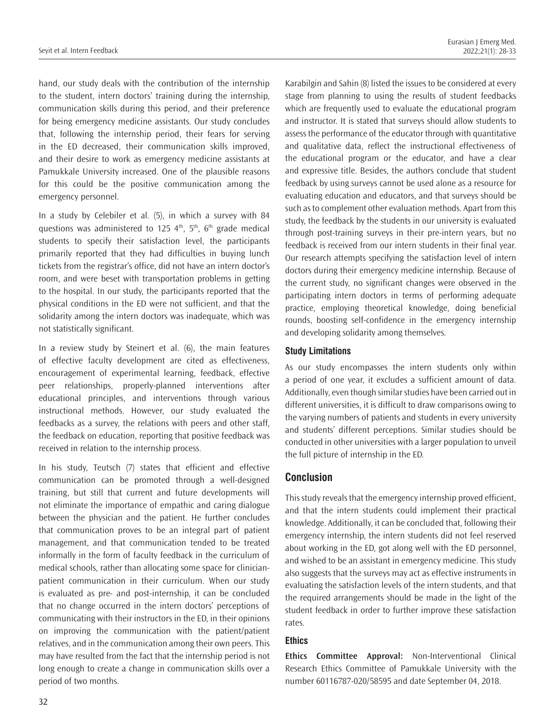hand, our study deals with the contribution of the internship to the student, intern doctors' training during the internship, communication skills during this period, and their preference for being emergency medicine assistants. Our study concludes that, following the internship period, their fears for serving in the ED decreased, their communication skills improved, and their desire to work as emergency medicine assistants at Pamukkale University increased. One of the plausible reasons for this could be the positive communication among the emergency personnel.

In a study by Celebiler et al. (5), in which a survey with 84 questions was administered to 125  $4<sup>th</sup>$ ,  $5<sup>th</sup>$ , 6<sup>th</sup> grade medical students to specify their satisfaction level, the participants primarily reported that they had difficulties in buying lunch tickets from the registrar's office, did not have an intern doctor's room, and were beset with transportation problems in getting to the hospital. In our study, the participants reported that the physical conditions in the ED were not sufficient, and that the solidarity among the intern doctors was inadequate, which was not statistically significant.

In a review study by Steinert et al. (6), the main features of effective faculty development are cited as effectiveness, encouragement of experimental learning, feedback, effective peer relationships, properly-planned interventions after educational principles, and interventions through various instructional methods. However, our study evaluated the feedbacks as a survey, the relations with peers and other staff, the feedback on education, reporting that positive feedback was received in relation to the internship process.

In his study, Teutsch (7) states that efficient and effective communication can be promoted through a well-designed training, but still that current and future developments will not eliminate the importance of empathic and caring dialogue between the physician and the patient. He further concludes that communication proves to be an integral part of patient management, and that communication tended to be treated informally in the form of faculty feedback in the curriculum of medical schools, rather than allocating some space for clinicianpatient communication in their curriculum. When our study is evaluated as pre- and post-internship, it can be concluded that no change occurred in the intern doctors' perceptions of communicating with their instructors in the ED, in their opinions on improving the communication with the patient/patient relatives, and in the communication among their own peers. This may have resulted from the fact that the internship period is not long enough to create a change in communication skills over a period of two months.

Karabilgin and Sahin (8) listed the issues to be considered at every stage from planning to using the results of student feedbacks which are frequently used to evaluate the educational program and instructor. It is stated that surveys should allow students to assess the performance of the educator through with quantitative and qualitative data, reflect the instructional effectiveness of the educational program or the educator, and have a clear and expressive title. Besides, the authors conclude that student feedback by using surveys cannot be used alone as a resource for evaluating education and educators, and that surveys should be such as to complement other evaluation methods. Apart from this study, the feedback by the students in our university is evaluated through post-training surveys in their pre-intern years, but no feedback is received from our intern students in their final year. Our research attempts specifying the satisfaction level of intern doctors during their emergency medicine internship. Because of the current study, no significant changes were observed in the participating intern doctors in terms of performing adequate practice, employing theoretical knowledge, doing beneficial rounds, boosting self-confidence in the emergency internship and developing solidarity among themselves.

#### **Study Limitations**

As our study encompasses the intern students only within a period of one year, it excludes a sufficient amount of data. Additionally, even though similar studies have been carried out in different universities, it is difficult to draw comparisons owing to the varying numbers of patients and students in every university and students' different perceptions. Similar studies should be conducted in other universities with a larger population to unveil the full picture of internship in the ED.

## **Conclusion**

This study reveals that the emergency internship proved efficient, and that the intern students could implement their practical knowledge. Additionally, it can be concluded that, following their emergency internship, the intern students did not feel reserved about working in the ED, got along well with the ED personnel, and wished to be an assistant in emergency medicine. This study also suggests that the surveys may act as effective instruments in evaluating the satisfaction levels of the intern students, and that the required arrangements should be made in the light of the student feedback in order to further improve these satisfaction rates.

#### **Ethics**

**Ethics Committee Approval:** Non-Interventional Clinical Research Ethics Committee of Pamukkale University with the number 60116787-020/58595 and date September 04, 2018.